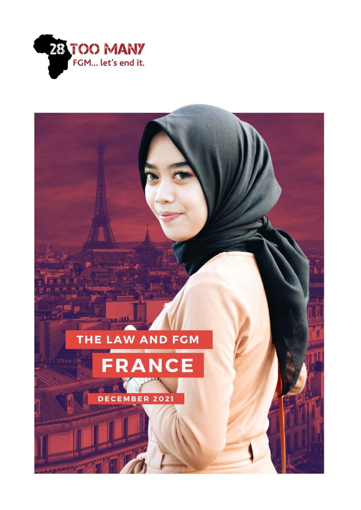

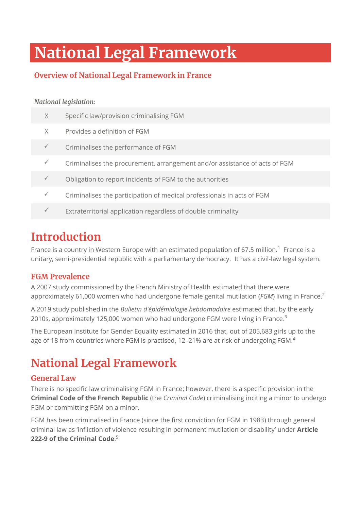# **National Legal Framework**

## **Overview of National Legal Framework in France**

### *National legislation:*

| X            | Specific law/provision criminalising FGM                                   |
|--------------|----------------------------------------------------------------------------|
| X            | Provides a definition of FGM                                               |
|              | Criminalises the performance of FGM                                        |
|              | Criminalises the procurement, arrangement and/or assistance of acts of FGM |
|              | Obligation to report incidents of FGM to the authorities                   |
| $\checkmark$ | Criminalises the participation of medical professionals in acts of FGM     |
|              | Extraterritorial application regardless of double criminality              |

## **Introduction**

France is a country in Western Europe with an estimated population of 67.5 million.<sup>1</sup> France is a unitary, semi-presidential republic with a parliamentary democracy. It has a civil-law legal system.

## **FGM Prevalence**

A 2007 study commissioned by the French Ministry of Health estimated that there were approximately 61,000 women who had undergone female genital mutilation (*FGM*) living in France.<sup>2</sup>

A 2019 study published in the *Bulletin d'épidémiologie hebdomadaire* estimated that, by the early 2010s, approximately 125,000 women who had undergone FGM were living in France.<sup>3</sup>

The European Institute for Gender Equality estimated in 2016 that, out of 205,683 girls up to the age of 18 from countries where FGM is practised, 12-21% are at risk of undergoing FGM.<sup>4</sup>

## **National Legal Framework**

## **General Law**

There is no specific law criminalising FGM in France; however, there is a specific provision in the **Criminal Code of the French Republic** (the *Criminal Code*) criminalising inciting a minor to undergo FGM or committing FGM on a minor.

FGM has been criminalised in France (since the first conviction for FGM in 1983) through general criminal law as 'infliction of violence resulting in permanent mutilation or disability' under **Article 222-9 of the Criminal Code**. 5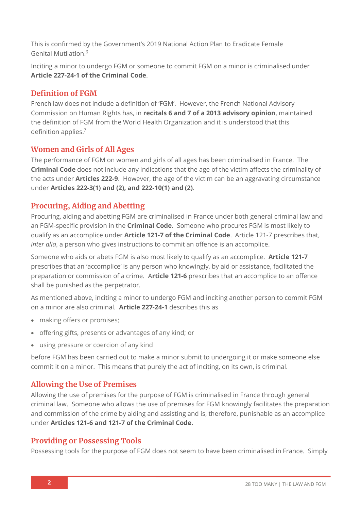This is confirmed by the Government's 2019 National Action Plan to Eradicate Female Genital Mutilation. 6

Inciting a minor to undergo FGM or someone to commit FGM on a minor is criminalised under **Article 227-24-1 of the Criminal Code**.

## **Definition of FGM**

French law does not include a definition of 'FGM'. However, the French National Advisory Commission on Human Rights has, in **recitals 6 and 7 of a 2013 advisory opinion**, maintained the definition of FGM from the World Health Organization and it is understood that this definition applies.<sup>7</sup>

## **Women and Girls of All Ages**

The performance of FGM on women and girls of all ages has been criminalised in France. The **Criminal Code** does not include any indications that the age of the victim affects the criminality of the acts under **Articles 222-9**. However, the age of the victim can be an aggravating circumstance under **Articles 222-3(1) and (2), and 222-10(1) and (2)**.

## **Procuring, Aiding and Abetting**

Procuring, aiding and abetting FGM are criminalised in France under both general criminal law and an FGM-specific provision in the **Criminal Code**. Someone who procures FGM is most likely to qualify as an accomplice under **Article 121-7 of the Criminal Code**. Article 121-7 prescribes that, *inter alia*, a person who gives instructions to commit an offence is an accomplice.

Someone who aids or abets FGM is also most likely to qualify as an accomplice. **Article 121-7**  prescribes that an 'accomplice' is any person who knowingly, by aid or assistance, facilitated the preparation or commission of a crime. A**rticle 121-6** prescribes that an accomplice to an offence shall be punished as the perpetrator.

As mentioned above, inciting a minor to undergo FGM and inciting another person to commit FGM on a minor are also criminal. **Article 227-24-1** describes this as

- making offers or promises;
- offering gifts, presents or advantages of any kind; or
- using pressure or coercion of any kind

before FGM has been carried out to make a minor submit to undergoing it or make someone else commit it on a minor. This means that purely the act of inciting, on its own, is criminal.

## **Allowing the Use of Premises**

Allowing the use of premises for the purpose of FGM is criminalised in France through general criminal law. Someone who allows the use of premises for FGM knowingly facilitates the preparation and commission of the crime by aiding and assisting and is, therefore, punishable as an accomplice under **Articles 121-6 and 121-7 of the Criminal Code**.

### **Providing or Possessing Tools**

Possessing tools for the purpose of FGM does not seem to have been criminalised in France. Simply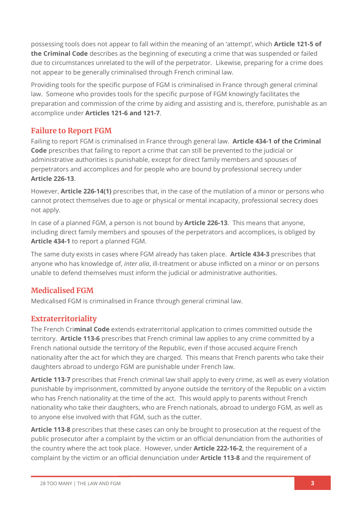possessing tools does not appear to fall within the meaning of an 'attempt', which **Article 121-5 of the Criminal Code** describes as the beginning of executing a crime that was suspended or failed due to circumstances unrelated to the will of the perpetrator. Likewise, preparing for a crime does not appear to be generally criminalised through French criminal law.

Providing tools for the specific purpose of FGM is criminalised in France through general criminal law. Someone who provides tools for the specific purpose of FGM knowingly facilitates the preparation and commission of the crime by aiding and assisting and is, therefore, punishable as an accomplice under **Articles 121-6 and 121-7**.

## **Failure to Report FGM**

Failing to report FGM is criminalised in France through general law. **Article 434-1 of the Criminal Code** prescribes that failing to report a crime that can still be prevented to the judicial or administrative authorities is punishable, except for direct family members and spouses of perpetrators and accomplices and for people who are bound by professional secrecy under **Article 226-13**.

However, **Article 226-14(1)** prescribes that, in the case of the mutilation of a minor or persons who cannot protect themselves due to age or physical or mental incapacity, professional secrecy does not apply.

In case of a planned FGM, a person is not bound by **Article 226-13**. This means that anyone, including direct family members and spouses of the perpetrators and accomplices, is obliged by **Article 434-1** to report a planned FGM.

The same duty exists in cases where FGM already has taken place. **Article 434-3** prescribes that anyone who has knowledge of, *inter alia*, ill-treatment or abuse inflicted on a minor or on persons unable to defend themselves must inform the judicial or administrative authorities.

## **Medicalised FGM**

Medicalised FGM is criminalised in France through general criminal law.

### **Extraterritoriality**

The French Cri**minal Code** extends extraterritorial application to crimes committed outside the territory. **Article 113-6** prescribes that French criminal law applies to any crime committed by a French national outside the territory of the Republic, even if those accused acquire French nationality after the act for which they are charged. This means that French parents who take their daughters abroad to undergo FGM are punishable under French law.

**Article 113-7** prescribes that French criminal law shall apply to every crime, as well as every violation punishable by imprisonment, committed by anyone outside the territory of the Republic on a victim who has French nationality at the time of the act. This would apply to parents without French nationality who take their daughters, who are French nationals, abroad to undergo FGM, as well as to anyone else involved with that FGM, such as the cutter.

**Article 113-8** prescribes that these cases can only be brought to prosecution at the request of the public prosecutor after a complaint by the victim or an official denunciation from the authorities of the country where the act took place. However, under **Article 222-16-2**, the requirement of a complaint by the victim or an official denunciation under **Article 113-8** and the requirement of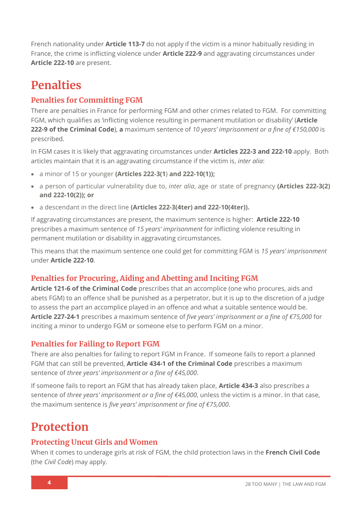French nationality under **Article 113-7** do not apply if the victim is a minor habitually residing in France, the crime is inflicting violence under **Article 222-9** and aggravating circumstances under **Article 222-10** are present.

## **Penalties**

## **Penalties for Committing FGM**

There are penalties in France for performing FGM and other crimes related to FGM. For committing FGM, which qualifies as 'inflicting violence resulting in permanent mutilation or disability' (**Article 222-9 of the Criminal Code**), **a** maximum sentence of *10 years' imprisonment or a fine of €150,000* is prescribed.

In FGM cases it is likely that aggravating circumstances under **Articles 222-3 and 222-10** apply. Both articles maintain that it is an aggravating circumstance if the victim is, *inter alia*:

- a minor of 15 or younger **(Articles 222-3(1**) **and 222-10(1));**
- a person of particular vulnerability due to, *inter alia*, age or state of pregnancy **(Articles 222-3(2) and 222-10(2)); or**
- a descendant in the direct line **(Articles 222-3(4ter) and 222-10(4ter)).**

If aggravating circumstances are present, the maximum sentence is higher: **Article 222-10**  prescribes a maximum sentence of *15 years' imprisonment* for inflicting violence resulting in permanent mutilation or disability in aggravating circumstances.

This means that the maximum sentence one could get for committing FGM is *15 years' imprisonment* under **Article 222-10**.

## **Penalties for Procuring, Aiding and Abetting and Inciting FGM**

**Article 121-6 of the Criminal Code** prescribes that an accomplice (one who procures, aids and abets FGM) to an offence shall be punished as a perpetrator, but it is up to the discretion of a judge to assess the part an accomplice played in an offence and what a suitable sentence would be. **Article 227-24-1** prescribes a maximum sentence of *five years' imprisonment or a fine of €75,000* for inciting a minor to undergo FGM or someone else to perform FGM on a minor.

### **Penalties for Failing to Report FGM**

There are also penalties for failing to report FGM in France. If someone fails to report a planned FGM that can still be prevented, **Article 434-1 of the Criminal Code** prescribes a maximum sentence of *three years' imprisonment or a fine of €45,000*.

If someone fails to report an FGM that has already taken place, **Article 434-3** also prescribes a sentence of *three years' imprisonment or a fine of €45,000*, unless the victim is a minor. In that case, the maximum sentence is *five years' imprisonment or fine of €75,000*.

## **Protection**

## **Protecting Uncut Girls and Women**

When it comes to underage girls at risk of FGM, the child protection laws in the **French Civil Code** (the *Civil Code*) may apply.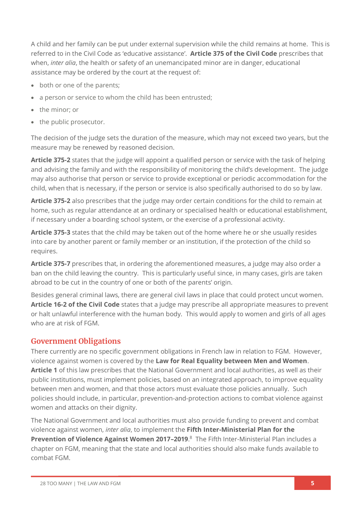A child and her family can be put under external supervision while the child remains at home. This is referred to in the Civil Code as 'educative assistance'. **Article 375 of the Civil Code** prescribes that when, *inter alia*, the health or safety of an unemancipated minor are in danger, educational assistance may be ordered by the court at the request of:

- both or one of the parents;
- a person or service to whom the child has been entrusted;
- the minor; or
- the public prosecutor.

The decision of the judge sets the duration of the measure, which may not exceed two years, but the measure may be renewed by reasoned decision.

**Article 375-2** states that the judge will appoint a qualified person or service with the task of helping and advising the family and with the responsibility of monitoring the child's development. The judge may also authorise that person or service to provide exceptional or periodic accommodation for the child, when that is necessary, if the person or service is also specifically authorised to do so by law.

**Article 375-2** also prescribes that the judge may order certain conditions for the child to remain at home, such as regular attendance at an ordinary or specialised health or educational establishment, if necessary under a boarding school system, or the exercise of a professional activity.

**Article 375-3** states that the child may be taken out of the home where he or she usually resides into care by another parent or family member or an institution, if the protection of the child so requires.

**Article 375-7** prescribes that, in ordering the aforementioned measures, a judge may also order a ban on the child leaving the country. This is particularly useful since, in many cases, girls are taken abroad to be cut in the country of one or both of the parents' origin.

Besides general criminal laws, there are general civil laws in place that could protect uncut women. **Article 16-2 of the Civil Code** states that a judge may prescribe all appropriate measures to prevent or halt unlawful interference with the human body. This would apply to women and girls of all ages who are at risk of FGM.

### **Government Obligations**

There currently are no specific government obligations in French law in relation to FGM. However, violence against women is covered by the **Law for Real Equality between Men and Women**. **Article 1** of this law prescribes that the National Government and local authorities, as well as their public institutions, must implement policies, based on an integrated approach, to improve equality between men and women, and that those actors must evaluate those policies annually. Such policies should include, in particular, prevention-and-protection actions to combat violence against women and attacks on their dignity.

The National Government and local authorities must also provide funding to prevent and combat violence against women, *inter alia*, to implement the **Fifth Inter-Ministerial Plan for the Prevention of Violence Against Women 2017–2019**. <sup>8</sup> The Fifth Inter-Ministerial Plan includes a chapter on FGM, meaning that the state and local authorities should also make funds available to combat FGM.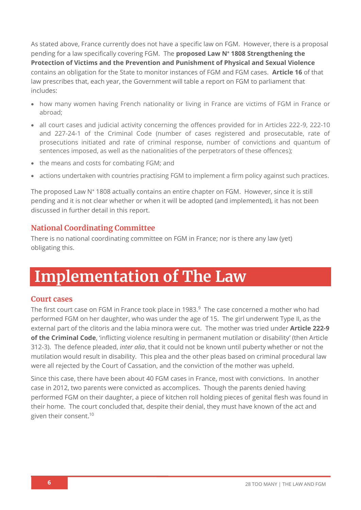As stated above, France currently does not have a specific law on FGM. However, there is a proposal pending for a law specifically covering FGM. The **proposed Law N° 1808 Strengthening the Protection of Victims and the Prevention and Punishment of Physical and Sexual Violence** contains an obligation for the State to monitor instances of FGM and FGM cases. **Article 16** of that law prescribes that, each year, the Government will table a report on FGM to parliament that includes:

- how many women having French nationality or living in France are victims of FGM in France or abroad;
- all court cases and judicial activity concerning the offences provided for in Articles 222-9, 222-10 and 227-24-1 of the Criminal Code (number of cases registered and prosecutable, rate of prosecutions initiated and rate of criminal response, number of convictions and quantum of sentences imposed, as well as the nationalities of the perpetrators of these offences);
- the means and costs for combating FGM; and
- actions undertaken with countries practising FGM to implement a firm policy against such practices.

The proposed Law N° 1808 actually contains an entire chapter on FGM. However, since it is still pending and it is not clear whether or when it will be adopted (and implemented), it has not been discussed in further detail in this report.

### **National Coordinating Committee**

There is no national coordinating committee on FGM in France; nor is there any law (yet) obligating this.

# **Implementation of The Law**

### **Court cases**

The first court case on FGM in France took place in 1983.<sup>9</sup> The case concerned a mother who had performed FGM on her daughter, who was under the age of 15. The girl underwent Type II, as the external part of the clitoris and the labia minora were cut. The mother was tried under **Article 222-9 of the Criminal Code**, 'inflicting violence resulting in permanent mutilation or disability' (then Article 312-3). The defence pleaded, *inter alia*, that it could not be known until puberty whether or not the mutilation would result in disability. This plea and the other pleas based on criminal procedural law were all rejected by the Court of Cassation, and the conviction of the mother was upheld.

Since this case, there have been about 40 FGM cases in France, most with convictions. In another case in 2012, two parents were convicted as accomplices. Though the parents denied having performed FGM on their daughter, a piece of kitchen roll holding pieces of genital flesh was found in their home. The court concluded that, despite their denial, they must have known of the act and given their consent. 10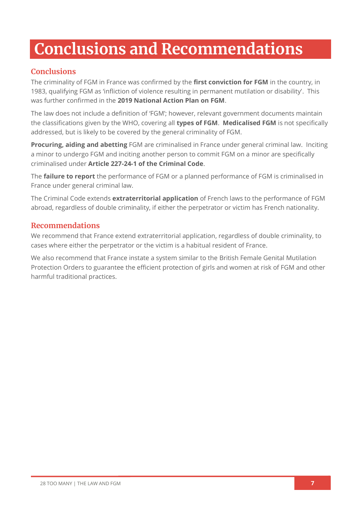# **Conclusions and Recommendations**

## **Conclusions**

The criminality of FGM in France was confirmed by the **first conviction for FGM** in the country, in 1983, qualifying FGM as 'infliction of violence resulting in permanent mutilation or disability'. This was further confirmed in the **2019 National Action Plan on FGM**.

The law does not include a definition of 'FGM'; however, relevant government documents maintain the classifications given by the WHO, covering all **types of FGM**. **Medicalised FGM** is not specifically addressed, but is likely to be covered by the general criminality of FGM.

**Procuring, aiding and abetting** FGM are criminalised in France under general criminal law. Inciting a minor to undergo FGM and inciting another person to commit FGM on a minor are specifically criminalised under **Article 227-24-1 of the Criminal Code**.

The **failure to report** the performance of FGM or a planned performance of FGM is criminalised in France under general criminal law.

The Criminal Code extends **extraterritorial application** of French laws to the performance of FGM abroad, regardless of double criminality, if either the perpetrator or victim has French nationality.

## **Recommendations**

We recommend that France extend extraterritorial application, regardless of double criminality, to cases where either the perpetrator or the victim is a habitual resident of France.

We also recommend that France instate a system similar to the British Female Genital Mutilation Protection Orders to guarantee the efficient protection of girls and women at risk of FGM and other harmful traditional practices.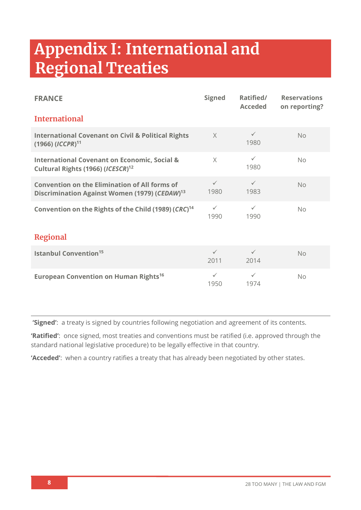# **Appendix I: International and Regional Treaties**

| <b>FRANCE</b>                                                                                                     | <b>Signed</b>        | Ratified/<br><b>Acceded</b> | <b>Reservations</b><br>on reporting? |  |
|-------------------------------------------------------------------------------------------------------------------|----------------------|-----------------------------|--------------------------------------|--|
| <b>International</b>                                                                                              |                      |                             |                                      |  |
| <b>International Covenant on Civil &amp; Political Rights</b><br>$(1966)$ (ICCPR) <sup>11</sup>                   | $\times$             | $\checkmark$<br>1980        | No                                   |  |
| <b>International Covenant on Economic, Social &amp;</b><br>Cultural Rights (1966) (ICESCR) <sup>12</sup>          | $\times$             | $\checkmark$<br>1980        | No.                                  |  |
| <b>Convention on the Elimination of All forms of</b><br>Discrimination Against Women (1979) (CEDAW) <sup>13</sup> | $\checkmark$<br>1980 | $\checkmark$<br>1983        | No                                   |  |
| Convention on the Rights of the Child (1989) (CRC) <sup>14</sup>                                                  | $\checkmark$<br>1990 | $\checkmark$<br>1990        | No                                   |  |
| <b>Regional</b>                                                                                                   |                      |                             |                                      |  |
| <b>Istanbul Convention<sup>15</sup></b>                                                                           | $\checkmark$<br>2011 | $\checkmark$<br>2014        | No                                   |  |
| <b>European Convention on Human Rights<sup>16</sup></b>                                                           | $\checkmark$<br>1950 | $\checkmark$<br>1974        | No                                   |  |

**'Signed'**: a treaty is signed by countries following negotiation and agreement of its contents.

**'Ratified'**: once signed, most treaties and conventions must be ratified (i.e. approved through the standard national legislative procedure) to be legally effective in that country.

**'Acceded'**: when a country ratifies a treaty that has already been negotiated by other states.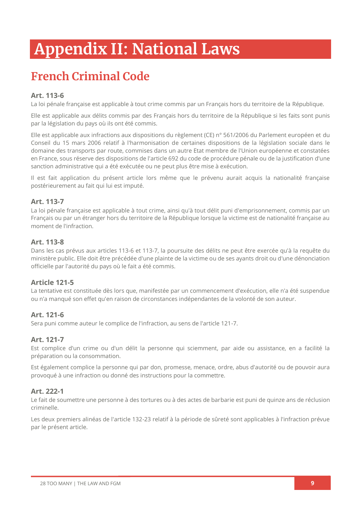# **Appendix II: National Laws**

## **French Criminal Code**

### **Art. 113-6**

La loi pénale française est applicable à tout crime commis par un Français hors du territoire de la République.

Elle est applicable aux délits commis par des Français hors du territoire de la République si les faits sont punis par la législation du pays où ils ont été commis.

Elle est applicable aux infractions aux dispositions du règlement (CE) n° 561/2006 du Parlement européen et du Conseil du 15 mars 2006 relatif à l'harmonisation de certaines dispositions de la législation sociale dans le domaine des transports par route, commises dans un autre Etat membre de l'Union européenne et constatées en France, sous réserve des dispositions de l'article 692 du code de procédure pénale ou de la justification d'une sanction administrative qui a été exécutée ou ne peut plus être mise à exécution.

Il est fait application du présent article lors même que le prévenu aurait acquis la nationalité française postérieurement au fait qui lui est imputé.

### **Art. 113-7**

La loi pénale française est applicable à tout crime, ainsi qu'à tout délit puni d'emprisonnement, commis par un Français ou par un étranger hors du territoire de la République lorsque la victime est de nationalité française au moment de l'infraction.

### **Art. 113-8**

Dans les cas prévus aux articles 113-6 et 113-7, la poursuite des délits ne peut être exercée qu'à la requête du ministère public. Elle doit être précédée d'une plainte de la victime ou de ses ayants droit ou d'une dénonciation officielle par l'autorité du pays où le fait a été commis.

### **Article 121-5**

La tentative est constituée dès lors que, manifestée par un commencement d'exécution, elle n'a été suspendue ou n'a manqué son effet qu'en raison de circonstances indépendantes de la volonté de son auteur.

### **Art. 121-6**

Sera puni comme auteur le complice de l'infraction, au sens de l'article 121-7.

### **Art. 121-7**

Est complice d'un crime ou d'un délit la personne qui sciemment, par aide ou assistance, en a facilité la préparation ou la consommation.

Est également complice la personne qui par don, promesse, menace, ordre, abus d'autorité ou de pouvoir aura provoqué à une infraction ou donné des instructions pour la commettre.

### **Art. 222-1**

Le fait de soumettre une personne à des tortures ou à des actes de barbarie est puni de quinze ans de réclusion criminelle.

Les deux premiers alinéas de l'article 132-23 relatif à la période de sûreté sont applicables à l'infraction prévue par le présent article.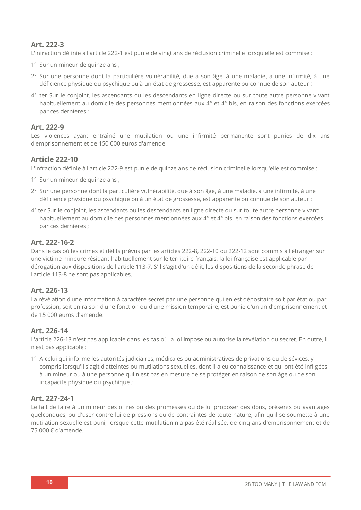### **Art. 222-3**

L'infraction définie à l'article 222-1 est punie de vingt ans de réclusion criminelle lorsqu'elle est commise :

- 1° Sur un mineur de quinze ans ;
- 2° Sur une personne dont la particulière vulnérabilité, due à son âge, à une maladie, à une infirmité, à une déficience physique ou psychique ou à un état de grossesse, est apparente ou connue de son auteur ;
- 4° ter Sur le conjoint, les ascendants ou les descendants en ligne directe ou sur toute autre personne vivant habituellement au domicile des personnes mentionnées aux 4° et 4° bis, en raison des fonctions exercées par ces dernières ;

### **Art. 222-9**

Les violences ayant entraîné une mutilation ou une infirmité permanente sont punies de dix ans d'emprisonnement et de 150 000 euros d'amende.

### **Article 222-10**

L'infraction définie à l'article 222-9 est punie de quinze ans de réclusion criminelle lorsqu'elle est commise :

- 1° Sur un mineur de quinze ans ;
- 2° Sur une personne dont la particulière vulnérabilité, due à son âge, à une maladie, à une infirmité, à une déficience physique ou psychique ou à un état de grossesse, est apparente ou connue de son auteur ;
- 4° ter Sur le conjoint, les ascendants ou les descendants en ligne directe ou sur toute autre personne vivant habituellement au domicile des personnes mentionnées aux 4° et 4° bis, en raison des fonctions exercées par ces dernières ;

### **Art. 222-16-2**

Dans le cas où les crimes et délits prévus par les articles 222-8, 222-10 ou 222-12 sont commis à l'étranger sur une victime mineure résidant habituellement sur le territoire français, la loi française est applicable par dérogation aux dispositions de l'article 113-7. S'il s'agit d'un délit, les dispositions de la seconde phrase de l'article 113-8 ne sont pas applicables.

### **Art. 226-13**

La révélation d'une information à caractère secret par une personne qui en est dépositaire soit par état ou par profession, soit en raison d'une fonction ou d'une mission temporaire, est punie d'un an d'emprisonnement et de 15 000 euros d'amende.

### **Art. 226-14**

L'article 226-13 n'est pas applicable dans les cas où la loi impose ou autorise la révélation du secret. En outre, il n'est pas applicable :

1° A celui qui informe les autorités judiciaires, médicales ou administratives de privations ou de sévices, y compris lorsqu'il s'agit d'atteintes ou mutilations sexuelles, dont il a eu connaissance et qui ont été infligées à un mineur ou à une personne qui n'est pas en mesure de se protéger en raison de son âge ou de son incapacité physique ou psychique ;

### **Art. 227-24-1**

Le fait de faire à un mineur des offres ou des promesses ou de lui proposer des dons, présents ou avantages quelconques, ou d'user contre lui de pressions ou de contraintes de toute nature, afin qu'il se soumette à une mutilation sexuelle est puni, lorsque cette mutilation n'a pas été réalisée, de cinq ans d'emprisonnement et de 75 000 € d'amende.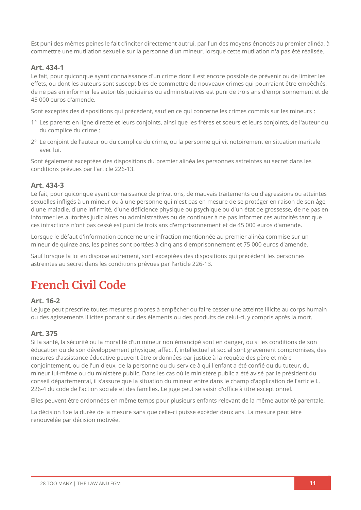Est puni des mêmes peines le fait d'inciter directement autrui, par l'un des moyens énoncés au premier alinéa, à commettre une mutilation sexuelle sur la personne d'un mineur, lorsque cette mutilation n'a pas été réalisée.

### **Art. 434-1**

Le fait, pour quiconque ayant connaissance d'un crime dont il est encore possible de prévenir ou de limiter les effets, ou dont les auteurs sont susceptibles de commettre de nouveaux crimes qui pourraient être empêchés, de ne pas en informer les autorités judiciaires ou administratives est puni de trois ans d'emprisonnement et de 45 000 euros d'amende.

Sont exceptés des dispositions qui précèdent, sauf en ce qui concerne les crimes commis sur les mineurs :

- 1° Les parents en ligne directe et leurs conjoints, ainsi que les frères et soeurs et leurs conjoints, de l'auteur ou du complice du crime ;
- 2° Le conjoint de l'auteur ou du complice du crime, ou la personne qui vit notoirement en situation maritale avec lui.

Sont également exceptées des dispositions du premier alinéa les personnes astreintes au secret dans les conditions prévues par l'article 226-13.

### **Art. 434-3**

Le fait, pour quiconque ayant connaissance de privations, de mauvais traitements ou d'agressions ou atteintes sexuelles infligés à un mineur ou à une personne qui n'est pas en mesure de se protéger en raison de son âge, d'une maladie, d'une infirmité, d'une déficience physique ou psychique ou d'un état de grossesse, de ne pas en informer les autorités judiciaires ou administratives ou de continuer à ne pas informer ces autorités tant que ces infractions n'ont pas cessé est puni de trois ans d'emprisonnement et de 45 000 euros d'amende.

Lorsque le défaut d'information concerne une infraction mentionnée au premier alinéa commise sur un mineur de quinze ans, les peines sont portées à cinq ans d'emprisonnement et 75 000 euros d'amende.

Sauf lorsque la loi en dispose autrement, sont exceptées des dispositions qui précèdent les personnes astreintes au secret dans les conditions prévues par l'article 226-13.

## **French Civil Code**

### **Art. 16-2**

Le juge peut prescrire toutes mesures propres à empêcher ou faire cesser une atteinte illicite au corps humain ou des agissements illicites portant sur des éléments ou des produits de celui-ci, y compris après la mort.

### **Art. 375**

Si la santé, la sécurité ou la moralité d'un mineur non émancipé sont en danger, ou si les conditions de son éducation ou de son développement physique, affectif, intellectuel et social sont gravement compromises, des mesures d'assistance éducative peuvent être ordonnées par justice à la requête des père et mère conjointement, ou de l'un d'eux, de la personne ou du service à qui l'enfant a été confié ou du tuteur, du mineur lui-même ou du ministère public. Dans les cas où le ministère public a été avisé par le président du conseil départemental, il s'assure que la situation du mineur entre dans le champ d'application de l'article L. 226-4 du code de l'action sociale et des familles. Le juge peut se saisir d'office à titre exceptionnel.

Elles peuvent être ordonnées en même temps pour plusieurs enfants relevant de la même autorité parentale.

La décision fixe la durée de la mesure sans que celle-ci puisse excéder deux ans. La mesure peut être renouvelée par décision motivée.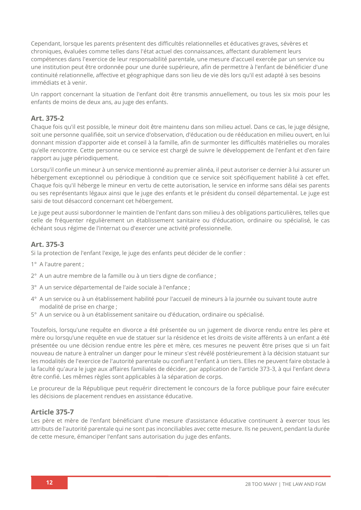Cependant, lorsque les parents présentent des difficultés relationnelles et éducatives graves, sévères et chroniques, évaluées comme telles dans l'état actuel des connaissances, affectant durablement leurs compétences dans l'exercice de leur responsabilité parentale, une mesure d'accueil exercée par un service ou une institution peut être ordonnée pour une durée supérieure, afin de permettre à l'enfant de bénéficier d'une continuité relationnelle, affective et géographique dans son lieu de vie dès lors qu'il est adapté à ses besoins immédiats et à venir.

Un rapport concernant la situation de l'enfant doit être transmis annuellement, ou tous les six mois pour les enfants de moins de deux ans, au juge des enfants.

### **Art. 375-2**

Chaque fois qu'il est possible, le mineur doit être maintenu dans son milieu actuel. Dans ce cas, le juge désigne, soit une personne qualifiée, soit un service d'observation, d'éducation ou de rééducation en milieu ouvert, en lui donnant mission d'apporter aide et conseil à la famille, afin de surmonter les difficultés matérielles ou morales qu'elle rencontre. Cette personne ou ce service est chargé de suivre le développement de l'enfant et d'en faire rapport au juge périodiquement.

Lorsqu'il confie un mineur à un service mentionné au premier alinéa, il peut autoriser ce dernier à lui assurer un hébergement exceptionnel ou périodique à condition que ce service soit spécifiquement habilité à cet effet. Chaque fois qu'il héberge le mineur en vertu de cette autorisation, le service en informe sans délai ses parents ou ses représentants légaux ainsi que le juge des enfants et le président du conseil départemental. Le juge est saisi de tout désaccord concernant cet hébergement.

Le juge peut aussi subordonner le maintien de l'enfant dans son milieu à des obligations particulières, telles que celle de fréquenter régulièrement un établissement sanitaire ou d'éducation, ordinaire ou spécialisé, le cas échéant sous régime de l'internat ou d'exercer une activité professionnelle.

### **Art. 375-3**

Si la protection de l'enfant l'exige, le juge des enfants peut décider de le confier :

- 1° A l'autre parent ;
- 2° A un autre membre de la famille ou à un tiers digne de confiance ;
- 3° A un service départemental de l'aide sociale à l'enfance ;
- 4° A un service ou à un établissement habilité pour l'accueil de mineurs à la journée ou suivant toute autre modalité de prise en charge ;
- 5° A un service ou à un établissement sanitaire ou d'éducation, ordinaire ou spécialisé.

Toutefois, lorsqu'une requête en divorce a été présentée ou un jugement de divorce rendu entre les père et mère ou lorsqu'une requête en vue de statuer sur la résidence et les droits de visite afférents à un enfant a été présentée ou une décision rendue entre les père et mère, ces mesures ne peuvent être prises que si un fait nouveau de nature à entraîner un danger pour le mineur s'est révélé postérieurement à la décision statuant sur les modalités de l'exercice de l'autorité parentale ou confiant l'enfant à un tiers. Elles ne peuvent faire obstacle à la faculté qu'aura le juge aux affaires familiales de décider, par application de l'article 373-3, à qui l'enfant devra être confié. Les mêmes règles sont applicables à la séparation de corps.

Le procureur de la République peut requérir directement le concours de la force publique pour faire exécuter les décisions de placement rendues en assistance éducative.

### **Article 375-7**

Les père et mère de l'enfant bénéficiant d'une mesure d'assistance éducative continuent à exercer tous les attributs de l'autorité parentale qui ne sont pas inconciliables avec cette mesure. Ils ne peuvent, pendant la durée de cette mesure, émanciper l'enfant sans autorisation du juge des enfants.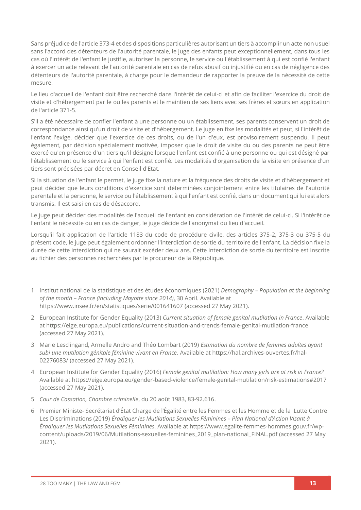Sans préjudice de l'article 373-4 et des dispositions particulières autorisant un tiers à accomplir un acte non usuel sans l'accord des détenteurs de l'autorité parentale, le juge des enfants peut exceptionnellement, dans tous les cas où l'intérêt de l'enfant le justifie, autoriser la personne, le service ou l'établissement à qui est confié l'enfant à exercer un acte relevant de l'autorité parentale en cas de refus abusif ou injustifié ou en cas de négligence des détenteurs de l'autorité parentale, à charge pour le demandeur de rapporter la preuve de la nécessité de cette mesure.

Le lieu d'accueil de l'enfant doit être recherché dans l'intérêt de celui-ci et afin de faciliter l'exercice du droit de visite et d'hébergement par le ou les parents et le maintien de ses liens avec ses frères et sœurs en application de l'article 371-5.

S'il a été nécessaire de confier l'enfant à une personne ou un établissement, ses parents conservent un droit de correspondance ainsi qu'un droit de visite et d'hébergement. Le juge en fixe les modalités et peut, si l'intérêt de l'enfant l'exige, décider que l'exercice de ces droits, ou de l'un d'eux, est provisoirement suspendu. Il peut également, par décision spécialement motivée, imposer que le droit de visite du ou des parents ne peut être exercé qu'en présence d'un tiers qu'il désigne lorsque l'enfant est confié à une personne ou qui est désigné par l'établissement ou le service à qui l'enfant est confié. Les modalités d'organisation de la visite en présence d'un tiers sont précisées par décret en Conseil d'Etat.

Si la situation de l'enfant le permet, le juge fixe la nature et la fréquence des droits de visite et d'hébergement et peut décider que leurs conditions d'exercice sont déterminées conjointement entre les titulaires de l'autorité parentale et la personne, le service ou l'établissement à qui l'enfant est confié, dans un document qui lui est alors transmis. Il est saisi en cas de désaccord.

Le juge peut décider des modalités de l'accueil de l'enfant en considération de l'intérêt de celui-ci. Si l'intérêt de l'enfant le nécessite ou en cas de danger, le juge décide de l'anonymat du lieu d'accueil.

Lorsqu'il fait application de l'article 1183 du code de procédure civile, des articles 375-2, 375-3 ou 375-5 du présent code, le juge peut également ordonner l'interdiction de sortie du territoire de l'enfant. La décision fixe la durée de cette interdiction qui ne saurait excéder deux ans. Cette interdiction de sortie du territoire est inscrite au fichier des personnes recherchées par le procureur de la République.

<sup>1</sup> Institut national de la statistique et des études économiques (2021) *Demography – Population at the beginning of the month – France (including Mayotte since 2014)*, 30 April. Available at <https://www.insee.fr/en/statistiques/serie/001641607> (accessed 27 May 2021).

<sup>2</sup> European Institute for Gender Equality (2013) *Current situation of female genital mutilation in France*. Available at<https://eige.europa.eu/publications/current-situation-and-trends-female-genital-mutilation-france> (accessed 27 May 2021).

<sup>3</sup> Marie Lesclingand, Armelle Andro and Théo Lombart (2019) *Estimation du nombre de femmes adultes ayant subi une mutilation génitale féminine vivant en France*. Available at [https://hal.archives-ouvertes.fr/hal-](https://hal.archives-ouvertes.fr/hal-02276083/)[02276083/](https://hal.archives-ouvertes.fr/hal-02276083/) (accessed 27 May 2021).

<sup>4</sup> European Institute for Gender Equality (2016) *Female genital mutilation: How many girls are at risk in France?* Available a[t https://eige.europa.eu/gender-based-violence/female-genital-mutilation/risk-estimations#2017](https://eige.europa.eu/gender-based-violence/female-genital-mutilation/risk-estimations#2017) (accessed 27 May 2021).

<sup>5</sup> *Cour de Cassation, Chambre criminelle*, du 20 août 1983, 83-92.616.

<sup>6</sup> Premier Ministe- Secrétariat d'État Charge de l'Égalité entre les Femmes et les Homme et de la Lutte Contre Les Discriminations (2019) *Éradiquer les Mutilations Sexuelles Féminines – Plan National d'Action Visant à Éradiquer les Mutilations Sexuelles Féminines*. Available a[t https://www.egalite-femmes-hommes.gouv.fr/wp](https://www.egalite-femmes-hommes.gouv.fr/wp-content/uploads/2019/06/Mutilations-sexuelles-feminines_2019_plan-national_FINAL.pdf)[content/uploads/2019/06/Mutilations-sexuelles-feminines\\_2019\\_plan-national\\_FINAL.pdf](https://www.egalite-femmes-hommes.gouv.fr/wp-content/uploads/2019/06/Mutilations-sexuelles-feminines_2019_plan-national_FINAL.pdf) (accessed 27 May 2021).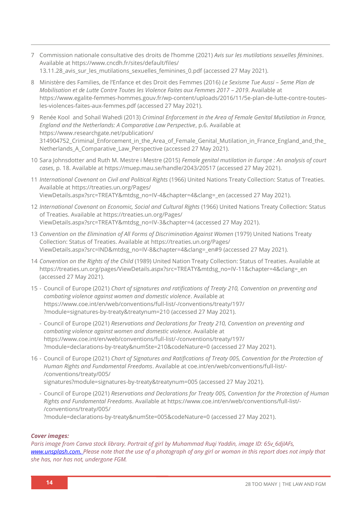- 7 Commission nationale consultative des droits de l'homme (2021) *Avis sur les mutilations sexuelles féminines*. Available a[t https://www.cncdh.fr/sites/default/files/](https://www.cncdh.fr/sites/default/files/13.11.28_avis_sur_les_mutilations_sexuelles_feminines_0.pdf) [13.11.28\\_avis\\_sur\\_les\\_mutilations\\_sexuelles\\_feminines\\_0.pdf](https://www.cncdh.fr/sites/default/files/13.11.28_avis_sur_les_mutilations_sexuelles_feminines_0.pdf) (accessed 27 May 2021).
- 8 Ministère des Families, de l'Enfance et des Droit des Femmes (2016) *Le Sexisme Tue Aussi – 5eme Plan de Mobilisation et de Lutte Contre Toutes les Violence Faites aux Femmes 2017 - 2019. Available at* [https://www.egalite-femmes-hommes.gouv.fr/wp-content/uploads/2016/11/5e-plan-de-lutte-contre-toutes](https://www.egalite-femmes-hommes.gouv.fr/wp-content/uploads/2016/11/5e-plan-de-lutte-contre-toutes-les-violences-faites-aux-femmes.pdf)[les-violences-faites-aux-femmes.pdf](https://www.egalite-femmes-hommes.gouv.fr/wp-content/uploads/2016/11/5e-plan-de-lutte-contre-toutes-les-violences-faites-aux-femmes.pdf) (accessed 27 May 2021).
- 9 Renée Kool and Sohail Wahedi (2013) *Criminal Enforcement in the Area of Female Genital Mutilation in France, England and the Netherlands: A Comparative Law Perspective*, p.6. Available at [https://www.researchgate.net/publication/](https://www.researchgate.net/publication/314904752_Criminal_Enforcement_in_the_Area_of_Female_Genital_Mutilation_in_France_England_and_the_Netherlands_A_Comparative_Law_Perspective) 314904752 Criminal Enforcement in the Area of Female Genital Mutilation in France England and the Netherlands A Comparative Law Perspective (accessed 27 May 2021).
- 10 Sara Johnsdotter and Ruth M. Mestre i Mestre (2015) *Female genital mutilation in Europe : An analysis of court cases*, p. 18. Available a[t https://muep.mau.se/handle/2043/20517](https://muep.mau.se/handle/2043/20517) (accessed 27 May 2021).
- 11 *International Covenant on Civil and Political Rights* (1966) United Nations Treaty Collection: Status of Treaties*.* Available a[t https://treaties.un.org/Pages/](https://treaties.un.org/Pages/ViewDetails.aspx?src=TREATY&mtdsg_no=IV-4&chapter=4&clang=_en) [ViewDetails.aspx?src=TREATY&mtdsg\\_no=IV-4&chapter=4&clang=\\_en](https://treaties.un.org/Pages/ViewDetails.aspx?src=TREATY&mtdsg_no=IV-4&chapter=4&clang=_en) (accessed 27 May 2021).
- 12 *International Covenant on Economic, Social and Cultural Rights* (1966) United Nations Treaty Collection: Status of Treaties. Available at [https://treaties.un.org/Pages/](https://treaties.un.org/Pages/ViewDetails.aspx?src=TREATY&mtdsg_no=IV-3&chapter=4) [ViewDetails.aspx?src=TREATY&mtdsg\\_no=IV-3&chapter=4](https://treaties.un.org/Pages/ViewDetails.aspx?src=TREATY&mtdsg_no=IV-3&chapter=4) (accessed 27 May 2021).
- 13 Convention on the Elimination of All Forms of Discrimination Against Women (1979) United Nations Treaty Collection: Status of Treaties. Available at [https://treaties.un.org/Pages/](https://treaties.un.org/Pages/ViewDetails.aspx?src=IND&mtdsg_no=IV-8&chapter=4&clang=_en#9) [ViewDetails.aspx?src=IND&mtdsg\\_no=IV-8&chapter=4&clang=\\_en#9](https://treaties.un.org/Pages/ViewDetails.aspx?src=IND&mtdsg_no=IV-8&chapter=4&clang=_en#9) (accessed 27 May 2021).
- 14 *Convention on the Rights of the Child* (1989) United Nation Treaty Collection: Status of Treaties. Available at [https://treaties.un.org/pages/ViewDetails.aspx?src=TREATY&mtdsg\\_no=IV-11&chapter=4&clang=\\_en](https://treaties.un.org/pages/ViewDetails.aspx?src=TREATY&mtdsg_no=IV-11&chapter=4&clang=_en) (accessed 27 May 2021).
- 15 Council of Europe (2021) *Chart of signatures and ratifications of Treaty 210, Convention on preventing and combating violence against women and domestic violence*. Available at [https://www.coe.int/en/web/conventions/full-list/-/conventions/treaty/197/](https://www.coe.int/en/web/conventions/full-list/-/conventions/treaty/197/?module=signatures-by-treaty&treatynum=210) [?module=signatures-by-treaty&treatynum=210](https://www.coe.int/en/web/conventions/full-list/-/conventions/treaty/197/?module=signatures-by-treaty&treatynum=210) (accessed 27 May 2021).
	- Council of Europe (2021) *Reservations and Declarations for Treaty 210, Convention on preventing and combating violence against women and domestic violence*. Available at [https://www.coe.int/en/web/conventions/full-list/-/conventions/treaty/197/](https://www.coe.int/en/web/conventions/full-list/-/conventions/treaty/197/?module=declarations-by-treaty&numSte=210&codeNature=0) [?module=declarations-by-treaty&numSte=210&codeNature=0](https://www.coe.int/en/web/conventions/full-list/-/conventions/treaty/197/?module=declarations-by-treaty&numSte=210&codeNature=0) (accessed 27 May 2021).
- 16 Council of Europe (2021) *Chart of Signatures and Ratifications of Treaty 005, Convention for the Protection of Human Rights and Fundamental Freedoms*. Available a[t coe.int/en/web/conventions/full-list/-](file://///System/Volumes/Data/Work%20files/28TooMany/28TM_EUReport%20Design/28TM_EUROPEReports/FRANCE/coe.int/en/web/conventions/full-list/-/conventions/treaty/005/signatures%253fmodule=signatures-by-treaty&treatynum=005) [/conventions/treaty/005/](file://///System/Volumes/Data/Work%20files/28TooMany/28TM_EUReport%20Design/28TM_EUROPEReports/FRANCE/coe.int/en/web/conventions/full-list/-/conventions/treaty/005/signatures%253fmodule=signatures-by-treaty&treatynum=005) [signatures?module=signatures-by-treaty&treatynum=005](file://///System/Volumes/Data/Work%20files/28TooMany/28TM_EUReport%20Design/28TM_EUROPEReports/FRANCE/coe.int/en/web/conventions/full-list/-/conventions/treaty/005/signatures%253fmodule=signatures-by-treaty&treatynum=005) (accessed 27 May 2021).
	- Council of Europe (2021) *Reservations and Declarations for Treaty 005, Convention for the Protection of Human Rights and Fundamental Freedoms*. Available at [https://www.coe.int/en/web/conventions/full-list/-](https://www.coe.int/en/web/conventions/full-list/-/conventions/treaty/005/?module=declarations-by-treaty&numSte=005&codeNature=0) [/conventions/treaty/005/](https://www.coe.int/en/web/conventions/full-list/-/conventions/treaty/005/?module=declarations-by-treaty&numSte=005&codeNature=0) [?module=declarations-by-treaty&numSte=005&codeNature=0](https://www.coe.int/en/web/conventions/full-list/-/conventions/treaty/005/?module=declarations-by-treaty&numSte=005&codeNature=0) (accessed 27 May 2021).

#### *Cover images:*

*Paris image from Canva stock library. Portrait of girl by [Muhammad Ruqi Yaddin,](https://unsplash.com/@mruqi) image ID: 65v\_6djIAFs, [www.unsplash.com.](http://www.unsplash.com/) Please note that the use of a photograph of any girl or woman in this report does not imply that she has, nor has not, undergone FGM.*